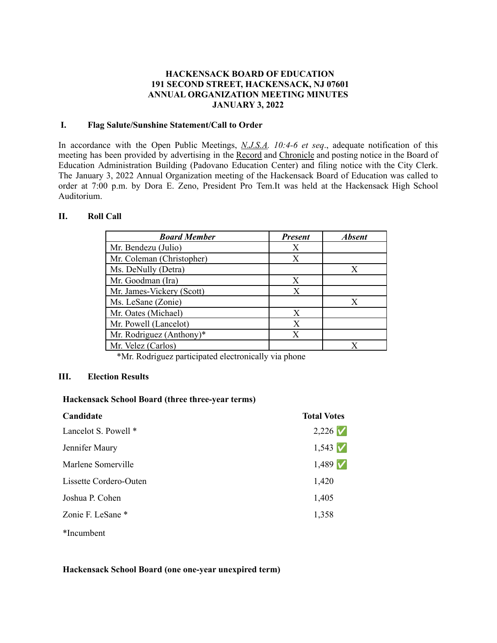### **HACKENSACK BOARD OF EDUCATION 191 SECOND STREET, HACKENSACK, NJ 07601 ANNUAL ORGANIZATION MEETING MINUTES JANUARY 3, 2022**

### **I. Flag Salute/Sunshine Statement/Call to Order**

In accordance with the Open Public Meetings, *N.J.S.A. 10:4-6 et seq*., adequate notification of this meeting has been provided by advertising in the Record and Chronicle and posting notice in the Board of Education Administration Building (Padovano Education Center) and filing notice with the City Clerk. The January 3, 2022 Annual Organization meeting of the Hackensack Board of Education was called to order at 7:00 p.m. by Dora E. Zeno, President Pro Tem.It was held at the Hackensack High School Auditorium.

#### **II. Roll Call**

| <b>Board Member</b>       | <b>Present</b> | <b>Absent</b> |
|---------------------------|----------------|---------------|
| Mr. Bendezu (Julio)       | Х              |               |
| Mr. Coleman (Christopher) | Х              |               |
| Ms. DeNully (Detra)       |                | X             |
| Mr. Goodman (Ira)         | Х              |               |
| Mr. James-Vickery (Scott) | Х              |               |
| Ms. LeSane (Zonie)        |                | X             |
| Mr. Oates (Michael)       | X              |               |
| Mr. Powell (Lancelot)     | X              |               |
| Mr. Rodriguez (Anthony)*  | Х              |               |
| Mr. Velez (Carlos)        |                | X             |

\*Mr. Rodriguez participated electronically via phone

#### **III. Election Results**

#### **Hackensack School Board (three three-year terms)**

| Candidate              | <b>Total Votes</b>  |
|------------------------|---------------------|
| Lancelot S. Powell *   | $2,226$ $\check{V}$ |
| Jennifer Maury         | $1,543$ $\check{V}$ |
| Marlene Somerville     | $1,489$ $\check{V}$ |
| Lissette Cordero-Outen | 1,420               |
| Joshua P. Cohen        | 1,405               |
| Zonie F. LeSane *      | 1,358               |
| *Incumbent             |                     |

**Hackensack School Board (one one-year unexpired term)**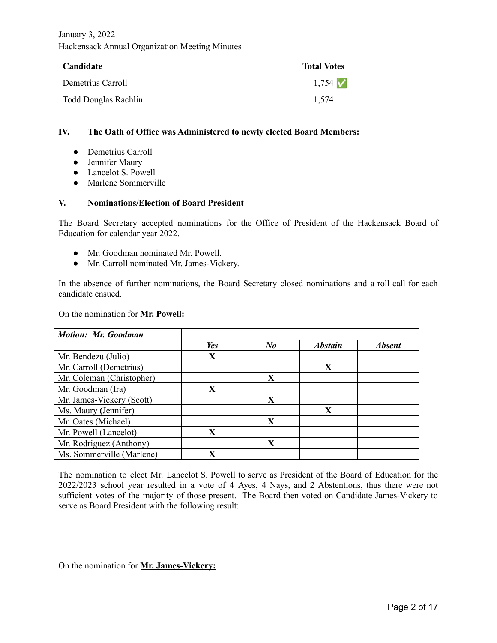| Candidate            | <b>Total Votes</b> |
|----------------------|--------------------|
| Demetrius Carroll    | $1,754$ $\vee$     |
| Todd Douglas Rachlin | 1.574              |

#### **IV. The Oath of Office was Administered to newly elected Board Members:**

- Demetrius Carroll
- Jennifer Maury
- Lancelot S. Powell
- Marlene Sommerville

#### **V. Nominations/Election of Board President**

The Board Secretary accepted nominations for the Office of President of the Hackensack Board of Education for calendar year 2022.

- Mr. Goodman nominated Mr. Powell.
- Mr. Carroll nominated Mr. James-Vickery.

In the absence of further nominations, the Board Secretary closed nominations and a roll call for each candidate ensued.

On the nomination for **Mr. Powell:**

| <b>Motion: Mr. Goodman</b> |                         |                      |                |               |
|----------------------------|-------------------------|----------------------|----------------|---------------|
|                            | Yes                     | $N_{\boldsymbol{0}}$ | <b>Abstain</b> | <b>Absent</b> |
| Mr. Bendezu (Julio)        | X                       |                      |                |               |
| Mr. Carroll (Demetrius)    |                         |                      | X              |               |
| Mr. Coleman (Christopher)  |                         | X                    |                |               |
| Mr. Goodman (Ira)          | $\overline{\textbf{X}}$ |                      |                |               |
| Mr. James-Vickery (Scott)  |                         | X                    |                |               |
| Ms. Maury (Jennifer)       |                         |                      | X              |               |
| Mr. Oates (Michael)        |                         | X                    |                |               |
| Mr. Powell (Lancelot)      | X                       |                      |                |               |
| Mr. Rodriguez (Anthony)    |                         | X                    |                |               |
| Ms. Sommerville (Marlene)  | X                       |                      |                |               |

The nomination to elect Mr. Lancelot S. Powell to serve as President of the Board of Education for the 2022/2023 school year resulted in a vote of 4 Ayes, 4 Nays, and 2 Abstentions, thus there were not sufficient votes of the majority of those present. The Board then voted on Candidate James-Vickery to serve as Board President with the following result:

On the nomination for **Mr. James-Vickery:**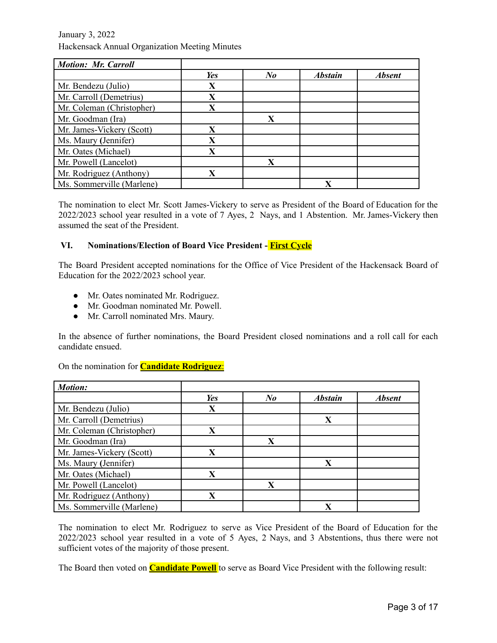| <b>Motion: Mr. Carroll</b> |                         |         |                |               |
|----------------------------|-------------------------|---------|----------------|---------------|
|                            | Yes                     | $N_{0}$ | <b>Abstain</b> | <b>Absent</b> |
| Mr. Bendezu (Julio)        | X                       |         |                |               |
| Mr. Carroll (Demetrius)    | X                       |         |                |               |
| Mr. Coleman (Christopher)  | $\overline{\textbf{X}}$ |         |                |               |
| Mr. Goodman (Ira)          |                         | X       |                |               |
| Mr. James-Vickery (Scott)  | X                       |         |                |               |
| Ms. Maury (Jennifer)       | $\overline{\textbf{X}}$ |         |                |               |
| Mr. Oates (Michael)        | X                       |         |                |               |
| Mr. Powell (Lancelot)      |                         | X       |                |               |
| Mr. Rodriguez (Anthony)    | $\mathbf X$             |         |                |               |
| Ms. Sommerville (Marlene)  |                         |         | $\mathbf{X}$   |               |

The nomination to elect Mr. Scott James-Vickery to serve as President of the Board of Education for the 2022/2023 school year resulted in a vote of 7 Ayes, 2 Nays, and 1 Abstention. Mr. James-Vickery then assumed the seat of the President.

### **VI. Nominations/Election of Board Vice President - First Cycle**

The Board President accepted nominations for the Office of Vice President of the Hackensack Board of Education for the 2022/2023 school year.

- Mr. Oates nominated Mr. Rodriguez.
- Mr. Goodman nominated Mr. Powell.
- Mr. Carroll nominated Mrs. Maury.

In the absence of further nominations, the Board President closed nominations and a roll call for each candidate ensued.

On the nomination for **Candidate Rodriguez**:

| <b>Motion:</b>            |     |         |                |               |
|---------------------------|-----|---------|----------------|---------------|
|                           | Yes | $N_{0}$ | <b>Abstain</b> | <b>Absent</b> |
| Mr. Bendezu (Julio)       | X   |         |                |               |
| Mr. Carroll (Demetrius)   |     |         | X              |               |
| Mr. Coleman (Christopher) | X   |         |                |               |
| Mr. Goodman (Ira)         |     | X       |                |               |
| Mr. James-Vickery (Scott) | X   |         |                |               |
| Ms. Maury (Jennifer)      |     |         | X              |               |
| Mr. Oates (Michael)       | X   |         |                |               |
| Mr. Powell (Lancelot)     |     | X       |                |               |
| Mr. Rodriguez (Anthony)   | X   |         |                |               |
| Ms. Sommerville (Marlene) |     |         | $\mathbf{X}$   |               |

The nomination to elect Mr. Rodriguez to serve as Vice President of the Board of Education for the 2022/2023 school year resulted in a vote of 5 Ayes, 2 Nays, and 3 Abstentions, thus there were not sufficient votes of the majority of those present.

The Board then voted on **Candidate Powell** to serve as Board Vice President with the following result: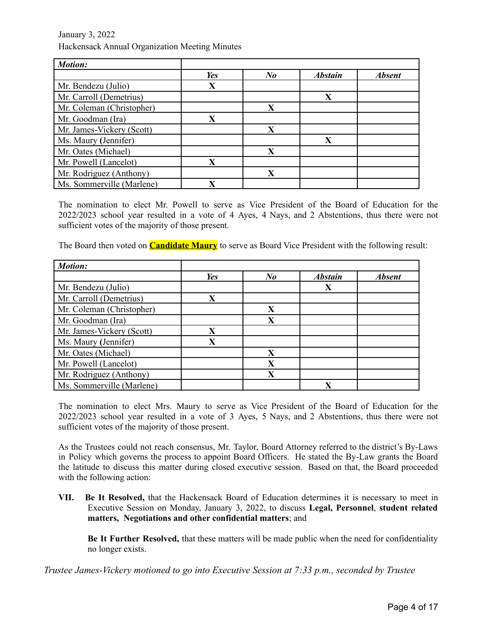| <b>Motion:</b>            |     |                         |                |               |
|---------------------------|-----|-------------------------|----------------|---------------|
|                           | Yes | $N_{\boldsymbol{0}}$    | <b>Abstain</b> | <b>Absent</b> |
| Mr. Bendezu (Julio)       | X   |                         |                |               |
| Mr. Carroll (Demetrius)   |     |                         | $\mathbf x$    |               |
| Mr. Coleman (Christopher) |     | X                       |                |               |
| Mr. Goodman (Ira)         | X   |                         |                |               |
| Mr. James-Vickery (Scott) |     | X                       |                |               |
| Ms. Maury (Jennifer)      |     |                         | X              |               |
| Mr. Oates (Michael)       |     | $\overline{\textbf{X}}$ |                |               |
| Mr. Powell (Lancelot)     | X   |                         |                |               |
| Mr. Rodriguez (Anthony)   |     | X                       |                |               |
| Ms. Sommerville (Marlene) | X   |                         |                |               |

The nomination to elect Mr. Powell to serve as Vice President of the Board of Education for the 2022/2023 school year resulted in a vote of 4 Ayes, 4 Nays, and 2 Abstentions, thus there were not sufficient votes of the majority of those present.

The Board then voted on **Candidate Maury** to serve as Board Vice President with the following result:

| <b>Motion:</b>            |                         |         |                |               |
|---------------------------|-------------------------|---------|----------------|---------------|
|                           | Yes                     | $N_{0}$ | <b>Abstain</b> | <b>Absent</b> |
| Mr. Bendezu (Julio)       |                         |         | X              |               |
| Mr. Carroll (Demetrius)   | X                       |         |                |               |
| Mr. Coleman (Christopher) |                         | X       |                |               |
| Mr. Goodman (Ira)         |                         | X       |                |               |
| Mr. James-Vickery (Scott) | $\mathbf x$             |         |                |               |
| Ms. Maury (Jennifer)      | $\overline{\textbf{X}}$ |         |                |               |
| Mr. Oates (Michael)       |                         | X       |                |               |
| Mr. Powell (Lancelot)     |                         | X       |                |               |
| Mr. Rodriguez (Anthony)   |                         | X       |                |               |
| Ms. Sommerville (Marlene) |                         |         | $\mathbf x$    |               |

The nomination to elect Mrs. Maury to serve as Vice President of the Board of Education for the 2022/2023 school year resulted in a vote of 3 Ayes, 5 Nays, and 2 Abstentions, thus there were not sufficient votes of the majority of those present.

As the Trustees could not reach consensus, Mr. Taylor, Board Attorney referred to the district's By-Laws in Policy which governs the process to appoint Board Officers. He stated the By-Law grants the Board the latitude to discuss this matter during closed executive session. Based on that, the Board proceeded with the following action:

**VII. Be It Resolved,** that the Hackensack Board of Education determines it is necessary to meet in Executive Session on Monday, January 3, 2022, to discuss **Legal, Personnel**, **student related matters, Negotiations and other confidential matters**; and

**Be It Further Resolved,** that these matters will be made public when the need for confidentiality no longer exists.

*Trustee James-Vickery motioned to go into Executive Session at 7:33 p.m., seconded by Trustee*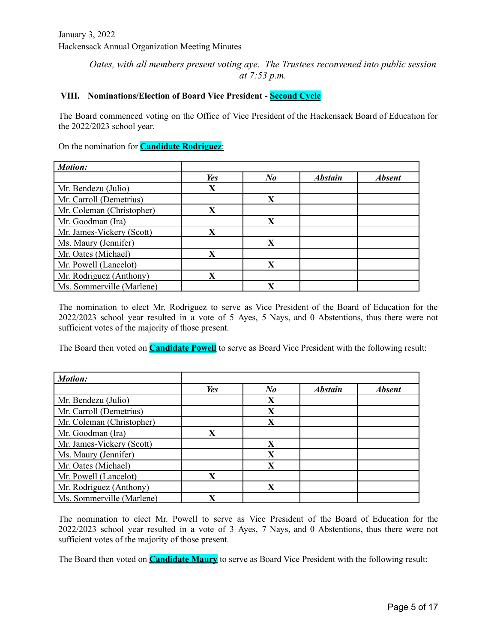# *Oates, with all members present voting aye. The Trustees reconvened into public session at 7:53 p.m.*

# **VIII. Nominations/Election of Board Vice President - Second Cycle**

The Board commenced voting on the Office of Vice President of the Hackensack Board of Education for the 2022/2023 school year.

### On the nomination for **Candidate Rodriguez**:

| <b>Motion:</b>            |                         |                         |                |               |
|---------------------------|-------------------------|-------------------------|----------------|---------------|
|                           | Yes                     | $N_{0}$                 | <b>Abstain</b> | <b>Absent</b> |
| Mr. Bendezu (Julio)       | X                       |                         |                |               |
| Mr. Carroll (Demetrius)   |                         | X                       |                |               |
| Mr. Coleman (Christopher) | $\overline{\textbf{X}}$ |                         |                |               |
| Mr. Goodman (Ira)         |                         | $\mathbf X$             |                |               |
| Mr. James-Vickery (Scott) | X                       |                         |                |               |
| Ms. Maury (Jennifer)      |                         | X                       |                |               |
| Mr. Oates (Michael)       | X                       |                         |                |               |
| Mr. Powell (Lancelot)     |                         | X                       |                |               |
| Mr. Rodriguez (Anthony)   | X                       |                         |                |               |
| Ms. Sommerville (Marlene) |                         | $\overline{\textbf{X}}$ |                |               |

The nomination to elect Mr. Rodriguez to serve as Vice President of the Board of Education for the 2022/2023 school year resulted in a vote of 5 Ayes, 5 Nays, and 0 Abstentions, thus there were not sufficient votes of the majority of those present.

The Board then voted on **Candidate Powell** to serve as Board Vice President with the following result:

| <b>Motion:</b>            |     |         |                |               |
|---------------------------|-----|---------|----------------|---------------|
|                           | Yes | $N_{0}$ | <b>Abstain</b> | <b>Absent</b> |
| Mr. Bendezu (Julio)       |     | X       |                |               |
| Mr. Carroll (Demetrius)   |     | X       |                |               |
| Mr. Coleman (Christopher) |     | X       |                |               |
| Mr. Goodman (Ira)         | X   |         |                |               |
| Mr. James-Vickery (Scott) |     | X       |                |               |
| Ms. Maury (Jennifer)      |     | X       |                |               |
| Mr. Oates (Michael)       |     | X       |                |               |
| Mr. Powell (Lancelot)     | X   |         |                |               |
| Mr. Rodriguez (Anthony)   |     | X       |                |               |
| Ms. Sommerville (Marlene) | X   |         |                |               |

The nomination to elect Mr. Powell to serve as Vice President of the Board of Education for the 2022/2023 school year resulted in a vote of 3 Ayes, 7 Nays, and 0 Abstentions, thus there were not sufficient votes of the majority of those present.

The Board then voted on **Candidate Maury** to serve as Board Vice President with the following result: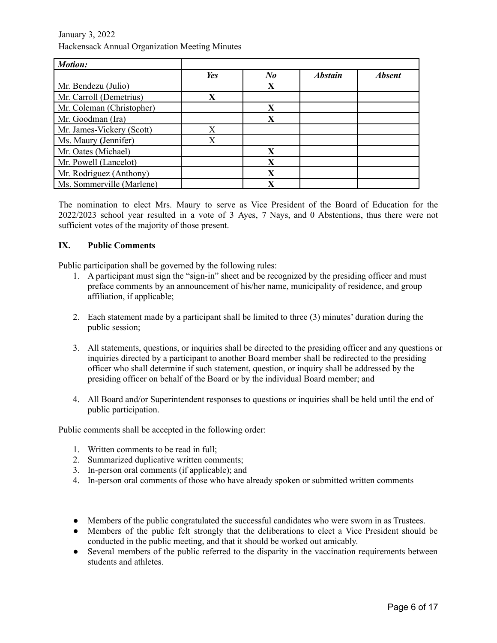| <b>Motion:</b>            |     |                         |                |               |
|---------------------------|-----|-------------------------|----------------|---------------|
|                           | Yes | $N_{0}$                 | <b>Abstain</b> | <b>Absent</b> |
| Mr. Bendezu (Julio)       |     | X                       |                |               |
| Mr. Carroll (Demetrius)   | X   |                         |                |               |
| Mr. Coleman (Christopher) |     | X                       |                |               |
| Mr. Goodman (Ira)         |     | X                       |                |               |
| Mr. James-Vickery (Scott) | X   |                         |                |               |
| Ms. Maury (Jennifer)      | X   |                         |                |               |
| Mr. Oates (Michael)       |     | X                       |                |               |
| Mr. Powell (Lancelot)     |     | $\overline{\textbf{X}}$ |                |               |
| Mr. Rodriguez (Anthony)   |     | X                       |                |               |
| Ms. Sommerville (Marlene) |     | X                       |                |               |

The nomination to elect Mrs. Maury to serve as Vice President of the Board of Education for the 2022/2023 school year resulted in a vote of 3 Ayes, 7 Nays, and 0 Abstentions, thus there were not sufficient votes of the majority of those present.

### **IX. Public Comments**

Public participation shall be governed by the following rules:

- 1. A participant must sign the "sign-in" sheet and be recognized by the presiding officer and must preface comments by an announcement of his/her name, municipality of residence, and group affiliation, if applicable;
- 2. Each statement made by a participant shall be limited to three (3) minutes' duration during the public session;
- 3. All statements, questions, or inquiries shall be directed to the presiding officer and any questions or inquiries directed by a participant to another Board member shall be redirected to the presiding officer who shall determine if such statement, question, or inquiry shall be addressed by the presiding officer on behalf of the Board or by the individual Board member; and
- 4. All Board and/or Superintendent responses to questions or inquiries shall be held until the end of public participation.

Public comments shall be accepted in the following order:

- 1. Written comments to be read in full;
- 2. Summarized duplicative written comments;
- 3. In-person oral comments (if applicable); and
- 4. In-person oral comments of those who have already spoken or submitted written comments
- Members of the public congratulated the successful candidates who were sworn in as Trustees.
- Members of the public felt strongly that the deliberations to elect a Vice President should be conducted in the public meeting, and that it should be worked out amicably.
- Several members of the public referred to the disparity in the vaccination requirements between students and athletes.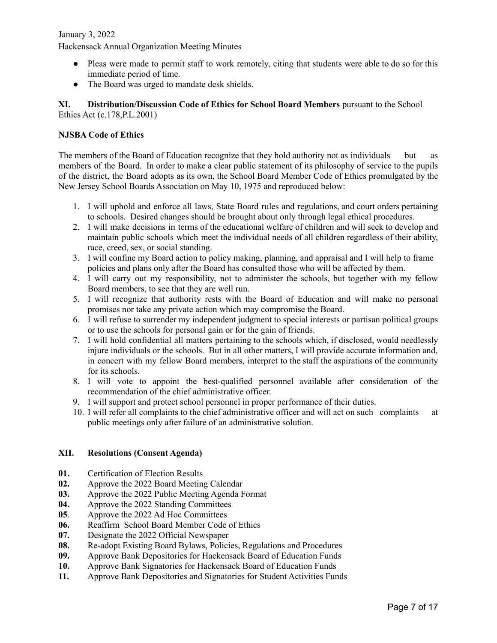- Pleas were made to permit staff to work remotely, citing that students were able to do so for this immediate period of time.
- The Board was urged to mandate desk shields.

### **XI. Distribution/Discussion Code of Ethics for School Board Members** pursuant to the School Ethics Act (c.178,P.L.2001)

# **NJSBA Code of Ethics**

The members of the Board of Education recognize that they hold authority not as individuals but as members of the Board. In order to make a clear public statement of its philosophy of service to the pupils of the district, the Board adopts as its own, the School Board Member Code of Ethics promulgated by the New Jersey School Boards Association on May 10, 1975 and reproduced below:

- 1. I will uphold and enforce all laws, State Board rules and regulations, and court orders pertaining to schools. Desired changes should be brought about only through legal ethical procedures.
- 2. I will make decisions in terms of the educational welfare of children and will seek to develop and maintain public schools which meet the individual needs of all children regardless of their ability, race, creed, sex, or social standing.
- 3. I will confine my Board action to policy making, planning, and appraisal and I will help to frame policies and plans only after the Board has consulted those who will be affected by them.
- 4. I will carry out my responsibility, not to administer the schools, but together with my fellow Board members, to see that they are well run.
- 5. I will recognize that authority rests with the Board of Education and will make no personal promises nor take any private action which may compromise the Board.
- 6. I will refuse to surrender my independent judgment to special interests or partisan political groups or to use the schools for personal gain or for the gain of friends.
- 7. I will hold confidential all matters pertaining to the schools which, if disclosed, would needlessly injure individuals or the schools. But in all other matters, I will provide accurate information and, in concert with my fellow Board members, interpret to the staff the aspirations of the community for its schools.
- 8. I will vote to appoint the best-qualified personnel available after consideration of the recommendation of the chief administrative officer.
- 9. I will support and protect school personnel in proper performance of their duties.
- 10. I will refer all complaints to the chief administrative officer and will act on such complaints at public meetings only after failure of an administrative solution.

### **XII. Resolutions (Consent Agenda)**

- **01.** Certification of Election Results
- **02.** Approve the 2022 Board Meeting Calendar
- **03.** Approve the 2022 Public Meeting Agenda Format
- **04.** Approve the 2022 Standing Committees
- **05**. Approve the 2022 Ad Hoc Committees
- **06.** Reaffirm School Board Member Code of Ethics
- **07.** Designate the 2022 Official Newspaper
- **08.** Re-adopt Existing Board Bylaws, Policies, Regulations and Procedures
- **09.** Approve Bank Depositories for Hackensack Board of Education Funds
- **10.** Approve Bank Signatories for Hackensack Board of Education Funds
- **11.** Approve Bank Depositories and Signatories for Student Activities Funds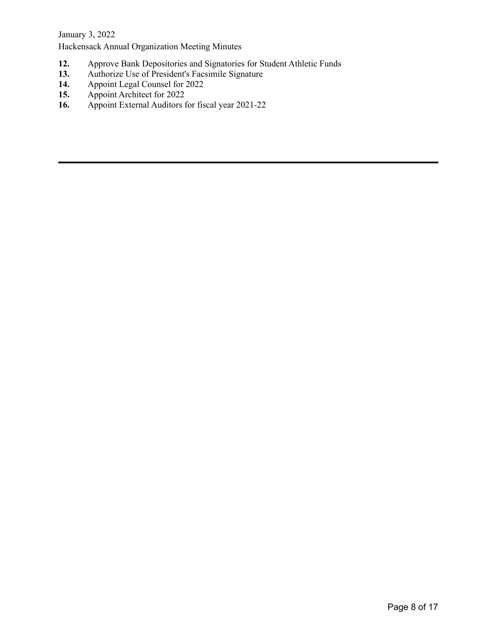- **12.** Approve Bank Depositories and Signatories for Student Athletic Funds
- 13. Authorize Use of President's Facsimile Signature
- **14.** Appoint Legal Counsel for 2022<br>**15.** Appoint Architect for 2022
- **15.** Appoint Architect for 2022<br>**16.** Appoint External Auditors for
- **16.** Appoint External Auditors for fiscal year 2021-22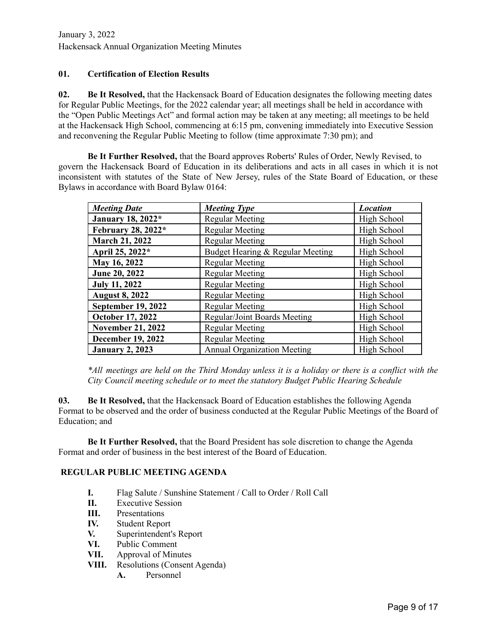# **01. Certification of Election Results**

**02. Be It Resolved,** that the Hackensack Board of Education designates the following meeting dates for Regular Public Meetings, for the 2022 calendar year; all meetings shall be held in accordance with the "Open Public Meetings Act" and formal action may be taken at any meeting; all meetings to be held at the Hackensack High School, commencing at 6:15 pm, convening immediately into Executive Session and reconvening the Regular Public Meeting to follow (time approximate 7:30 pm); and

**Be It Further Resolved,** that the Board approves Roberts' Rules of Order, Newly Revised, to govern the Hackensack Board of Education in its deliberations and acts in all cases in which it is not inconsistent with statutes of the State of New Jersey, rules of the State Board of Education, or these Bylaws in accordance with Board Bylaw 0164:

| <b>Meeting Date</b>       | <b>Meeting Type</b>                | <b>Location</b> |
|---------------------------|------------------------------------|-----------------|
| January 18, 2022*         | <b>Regular Meeting</b>             | High School     |
| February 28, 2022*        | <b>Regular Meeting</b>             | High School     |
| <b>March 21, 2022</b>     | <b>Regular Meeting</b>             | High School     |
| April 25, 2022*           | Budget Hearing & Regular Meeting   | High School     |
| May 16, 2022              | <b>Regular Meeting</b>             | High School     |
| June 20, 2022             | <b>Regular Meeting</b>             | High School     |
| <b>July 11, 2022</b>      | <b>Regular Meeting</b>             | High School     |
| <b>August 8, 2022</b>     | <b>Regular Meeting</b>             | High School     |
| <b>September 19, 2022</b> | <b>Regular Meeting</b>             | High School     |
| October 17, 2022          | Regular/Joint Boards Meeting       | High School     |
| <b>November 21, 2022</b>  | <b>Regular Meeting</b>             | High School     |
| <b>December 19, 2022</b>  | <b>Regular Meeting</b>             | High School     |
| <b>January 2, 2023</b>    | <b>Annual Organization Meeting</b> | High School     |

\*All meetings are held on the Third Monday unless it is a holiday or there is a conflict with the *City Council meeting schedule or to meet the statutory Budget Public Hearing Schedule*

**03. Be It Resolved,** that the Hackensack Board of Education establishes the following Agenda Format to be observed and the order of business conducted at the Regular Public Meetings of the Board of Education; and

**Be It Further Resolved,** that the Board President has sole discretion to change the Agenda Format and order of business in the best interest of the Board of Education.

### **REGULAR PUBLIC MEETING AGENDA**

- **I.** Flag Salute / Sunshine Statement / Call to Order / Roll Call
- **II.** Executive Session
- **III.** Presentations
- **IV.** Student Report
- **V.** Superintendent's Report
- **VI.** Public Comment
- **VII.** Approval of Minutes
- **VIII.** Resolutions (Consent Agenda)
	- **A.** Personnel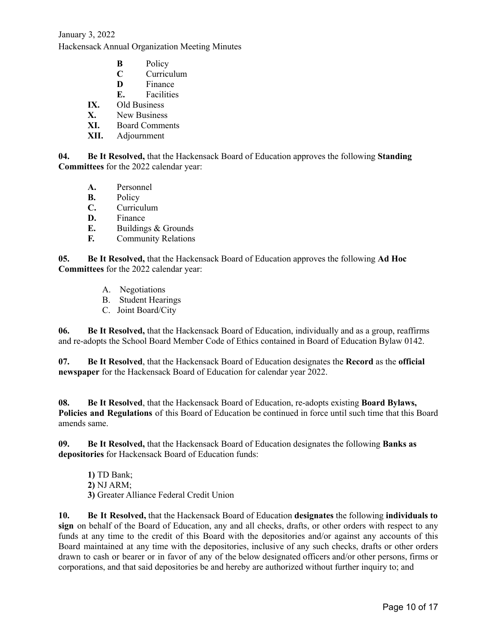- **B** Policy
- **C** Curriculum
- **D** Finance
- **E.** Facilities
- **IX.** Old Business
- **X.** New Business
- **XI.** Board Comments
- **XII.** Adjournment

**04. Be It Resolved,** that the Hackensack Board of Education approves the following **Standing Committees** for the 2022 calendar year:

- **A.** Personnel
- **B.** Policy
- **C.** Curriculum
- **D.** Finance
- **E.** Buildings & Grounds
- **F.** Community Relations

**05. Be It Resolved,** that the Hackensack Board of Education approves the following **Ad Hoc Committees** for the 2022 calendar year:

- A. Negotiations
- B. Student Hearings
- C. Joint Board/City

**06. Be It Resolved,** that the Hackensack Board of Education, individually and as a group, reaffirms and re-adopts the School Board Member Code of Ethics contained in Board of Education Bylaw 0142.

**07. Be It Resolved**, that the Hackensack Board of Education designates the **Record** as the **official newspaper** for the Hackensack Board of Education for calendar year 2022.

**08. Be It Resolved**, that the Hackensack Board of Education, re-adopts existing **Board Bylaws, Policies and Regulations** of this Board of Education be continued in force until such time that this Board amends same.

**09. Be It Resolved,** that the Hackensack Board of Education designates the following **Banks as depositories** for Hackensack Board of Education funds:

**1)** TD Bank; **2)** NJ ARM; **3)** Greater Alliance Federal Credit Union

**10. Be It Resolved,** that the Hackensack Board of Education **designates** the following **individuals to sign** on behalf of the Board of Education, any and all checks, drafts, or other orders with respect to any funds at any time to the credit of this Board with the depositories and/or against any accounts of this Board maintained at any time with the depositories, inclusive of any such checks, drafts or other orders drawn to cash or bearer or in favor of any of the below designated officers and/or other persons, firms or corporations, and that said depositories be and hereby are authorized without further inquiry to; and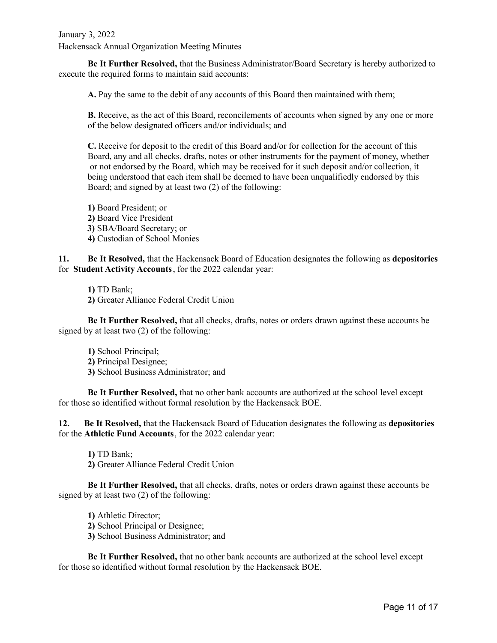**Be It Further Resolved,** that the Business Administrator/Board Secretary is hereby authorized to execute the required forms to maintain said accounts:

**A.** Pay the same to the debit of any accounts of this Board then maintained with them;

**B.** Receive, as the act of this Board, reconcilements of accounts when signed by any one or more of the below designated officers and/or individuals; and

**C.** Receive for deposit to the credit of this Board and/or for collection for the account of this Board, any and all checks, drafts, notes or other instruments for the payment of money, whether or not endorsed by the Board, which may be received for it such deposit and/or collection, it being understood that each item shall be deemed to have been unqualifiedly endorsed by this Board; and signed by at least two (2) of the following:

**1)** Board President; or **2)** Board Vice President **3)** SBA/Board Secretary; or **4)** Custodian of School Monies

**11. Be It Resolved,** that the Hackensack Board of Education designates the following as **depositories** for **Student Activity Accounts**, for the 2022 calendar year:

**1)** TD Bank; **2)** Greater Alliance Federal Credit Union

**Be It Further Resolved,** that all checks, drafts, notes or orders drawn against these accounts be signed by at least two (2) of the following:

- **1)** School Principal;
- **2)** Principal Designee;
- **3)** School Business Administrator; and

**Be It Further Resolved,** that no other bank accounts are authorized at the school level except for those so identified without formal resolution by the Hackensack BOE.

**12. Be It Resolved,** that the Hackensack Board of Education designates the following as **depositories** for the **Athletic Fund Accounts**, for the 2022 calendar year:

**1)** TD Bank; **2)** Greater Alliance Federal Credit Union

**Be It Further Resolved,** that all checks, drafts, notes or orders drawn against these accounts be signed by at least two (2) of the following:

**1)** Athletic Director; **2)** School Principal or Designee; **3)** School Business Administrator; and

**Be It Further Resolved,** that no other bank accounts are authorized at the school level except for those so identified without formal resolution by the Hackensack BOE.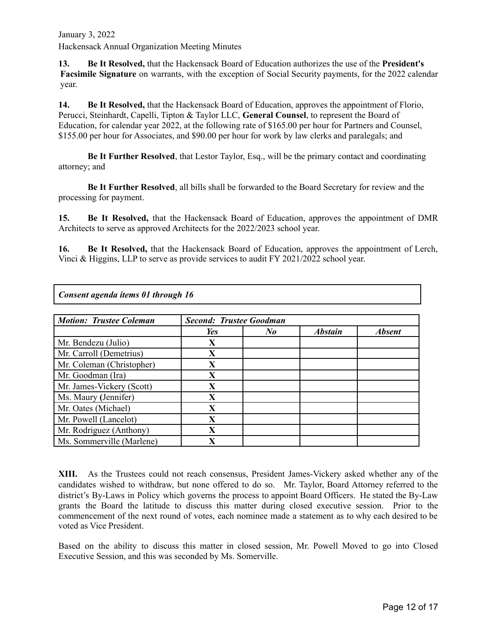**13. Be It Resolved,** that the Hackensack Board of Education authorizes the use of the **President's Facsimile Signature** on warrants, with the exception of Social Security payments, for the 2022 calendar year.

**14. Be It Resolved,** that the Hackensack Board of Education, approves the appointment of Florio, Perucci, Steinhardt, Capelli, Tipton & Taylor LLC, **General Counsel**, to represent the Board of Education, for calendar year 2022, at the following rate of \$165.00 per hour for Partners and Counsel, \$155.00 per hour for Associates, and \$90.00 per hour for work by law clerks and paralegals; and

**Be It Further Resolved**, that Lestor Taylor, Esq., will be the primary contact and coordinating attorney; and

**Be It Further Resolved**, all bills shall be forwarded to the Board Secretary for review and the processing for payment.

**15. Be It Resolved,** that the Hackensack Board of Education, approves the appointment of DMR Architects to serve as approved Architects for the 2022/2023 school year.

**16. Be It Resolved,** that the Hackensack Board of Education, approves the appointment of Lerch, Vinci & Higgins, LLP to serve as provide services to audit FY 2021/2022 school year.

| Consent agenda items 01 through 16                               |             |         |                |               |  |  |  |
|------------------------------------------------------------------|-------------|---------|----------------|---------------|--|--|--|
| <b>Motion: Trustee Coleman</b><br><b>Second: Trustee Goodman</b> |             |         |                |               |  |  |  |
|                                                                  | Yes         | $N_{0}$ | <b>Abstain</b> | <b>Absent</b> |  |  |  |
| Mr. Bendezu (Julio)                                              | X           |         |                |               |  |  |  |
| Mr. Carroll (Demetrius)                                          | X           |         |                |               |  |  |  |
| Mr. Coleman (Christopher)                                        | X           |         |                |               |  |  |  |
| Mr. Goodman (Ira)                                                | X           |         |                |               |  |  |  |
| Mr. James-Vickery (Scott)                                        | X           |         |                |               |  |  |  |
| Ms. Maury (Jennifer)                                             | X           |         |                |               |  |  |  |
| Mr. Oates (Michael)                                              | $\mathbf X$ |         |                |               |  |  |  |
| Mr. Powell (Lancelot)                                            | X           |         |                |               |  |  |  |
| Mr. Rodriguez (Anthony)                                          | X           |         |                |               |  |  |  |
| Ms. Sommerville (Marlene)                                        | X           |         |                |               |  |  |  |

**XIII.** As the Trustees could not reach consensus, President James-Vickery asked whether any of the candidates wished to withdraw, but none offered to do so. Mr. Taylor, Board Attorney referred to the district's By-Laws in Policy which governs the process to appoint Board Officers. He stated the By-Law grants the Board the latitude to discuss this matter during closed executive session. Prior to the commencement of the next round of votes, each nominee made a statement as to why each desired to be voted as Vice President.

Based on the ability to discuss this matter in closed session, Mr. Powell Moved to go into Closed Executive Session, and this was seconded by Ms. Somerville.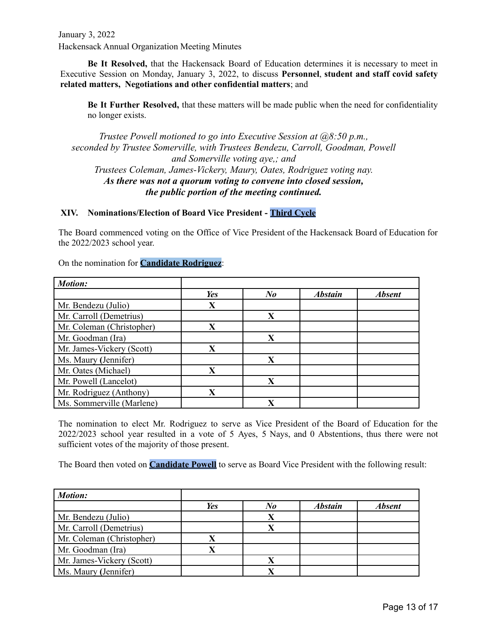**Be It Resolved,** that the Hackensack Board of Education determines it is necessary to meet in Executive Session on Monday, January 3, 2022, to discuss **Personnel**, **student and staff covid safety related matters, Negotiations and other confidential matters**; and

**Be It Further Resolved,** that these matters will be made public when the need for confidentiality no longer exists.

*Trustee Powell motioned to go into Executive Session at @8:50 p.m., seconded by Trustee Somerville, with Trustees Bendezu, Carroll, Goodman, Powell and Somerville voting aye,; and Trustees Coleman, James-Vickery, Maury, Oates, Rodriguez voting nay. As there was not a quorum voting to convene into closed session, the public portion of the meeting continued.*

#### **XIV. Nominations/Election of Board Vice President - Third Cycle**

The Board commenced voting on the Office of Vice President of the Hackensack Board of Education for the 2022/2023 school year.

On the nomination for **Candidate Rodriguez**:

| <b>Motion:</b>            |                         |         |                |               |
|---------------------------|-------------------------|---------|----------------|---------------|
|                           | Yes                     | $N_{0}$ | <b>Abstain</b> | <b>Absent</b> |
| Mr. Bendezu (Julio)       | X                       |         |                |               |
| Mr. Carroll (Demetrius)   |                         | X       |                |               |
| Mr. Coleman (Christopher) | X                       |         |                |               |
| Mr. Goodman (Ira)         |                         | X       |                |               |
| Mr. James-Vickery (Scott) | X                       |         |                |               |
| Ms. Maury (Jennifer)      |                         | X       |                |               |
| Mr. Oates (Michael)       | X                       |         |                |               |
| Mr. Powell (Lancelot)     |                         | X       |                |               |
| Mr. Rodriguez (Anthony)   | $\overline{\mathbf{X}}$ |         |                |               |
| Ms. Sommerville (Marlene) |                         | X       |                |               |

The nomination to elect Mr. Rodriguez to serve as Vice President of the Board of Education for the 2022/2023 school year resulted in a vote of 5 Ayes, 5 Nays, and 0 Abstentions, thus there were not sufficient votes of the majority of those present.

The Board then voted on **Candidate Powell** to serve as Board Vice President with the following result:

| <b>Motion:</b>            |     |    |                |               |
|---------------------------|-----|----|----------------|---------------|
|                           | Yes | No | <b>Abstain</b> | <b>Absent</b> |
| Mr. Bendezu (Julio)       |     | X  |                |               |
| Mr. Carroll (Demetrius)   |     | Х  |                |               |
| Mr. Coleman (Christopher) | Х   |    |                |               |
| Mr. Goodman (Ira)         |     |    |                |               |
| Mr. James-Vickery (Scott) |     |    |                |               |
| Ms. Maury (Jennifer)      |     |    |                |               |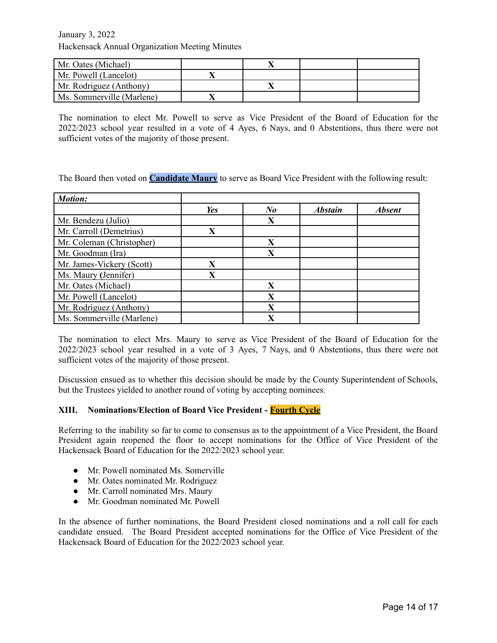| Mr. Oates (Michael)       |  |  |
|---------------------------|--|--|
| Mr. Powell (Lancelot)     |  |  |
| Mr. Rodriguez (Anthony)   |  |  |
| Ms. Sommerville (Marlene) |  |  |

The nomination to elect Mr. Powell to serve as Vice President of the Board of Education for the 2022/2023 school year resulted in a vote of 4 Ayes, 6 Nays, and 0 Abstentions, thus there were not sufficient votes of the majority of those present.

The Board then voted on **Candidate Maury** to serve as Board Vice President with the following result:

| <b>Motion:</b>            |                         |                         |                |               |
|---------------------------|-------------------------|-------------------------|----------------|---------------|
|                           | Yes                     | $N_{\boldsymbol{0}}$    | <b>Abstain</b> | <b>Absent</b> |
| Mr. Bendezu (Julio)       |                         | X                       |                |               |
| Mr. Carroll (Demetrius)   | X                       |                         |                |               |
| Mr. Coleman (Christopher) |                         | X                       |                |               |
| Mr. Goodman (Ira)         |                         | X                       |                |               |
| Mr. James-Vickery (Scott) | X                       |                         |                |               |
| Ms. Maury (Jennifer)      | $\overline{\textbf{X}}$ |                         |                |               |
| Mr. Oates (Michael)       |                         | X                       |                |               |
| Mr. Powell (Lancelot)     |                         | X                       |                |               |
| Mr. Rodriguez (Anthony)   |                         | X                       |                |               |
| Ms. Sommerville (Marlene) |                         | $\overline{\mathbf{X}}$ |                |               |

The nomination to elect Mrs. Maury to serve as Vice President of the Board of Education for the 2022/2023 school year resulted in a vote of 3 Ayes, 7 Nays, and 0 Abstentions, thus there were not sufficient votes of the majority of those present.

Discussion ensued as to whether this decision should be made by the County Superintendent of Schools, but the Trustees yielded to another round of voting by accepting nominees.

#### **XIII. Nominations/Election of Board Vice President - Fourth Cycle**

Referring to the inability so far to come to consensus as to the appointment of a Vice President, the Board President again reopened the floor to accept nominations for the Office of Vice President of the Hackensack Board of Education for the 2022/2023 school year.

- Mr. Powell nominated Ms. Somerville
- Mr. Oates nominated Mr. Rodriguez
- Mr. Carroll nominated Mrs. Maury
- Mr. Goodman nominated Mr. Powell

In the absence of further nominations, the Board President closed nominations and a roll call for each candidate ensued. The Board President accepted nominations for the Office of Vice President of the Hackensack Board of Education for the 2022/2023 school year.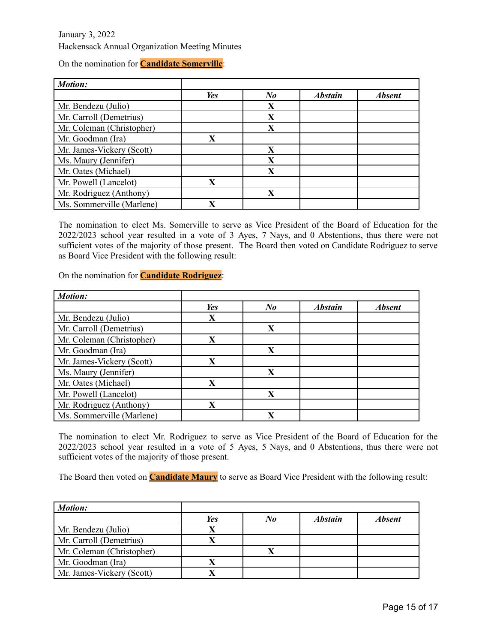|  | On the nomination for <b>Candidate Somerville</b> : |
|--|-----------------------------------------------------|
|--|-----------------------------------------------------|

| <b>Motion:</b>            |     |         |                |               |
|---------------------------|-----|---------|----------------|---------------|
|                           | Yes | $N_{0}$ | <b>Abstain</b> | <b>Absent</b> |
| Mr. Bendezu (Julio)       |     | X       |                |               |
| Mr. Carroll (Demetrius)   |     | X       |                |               |
| Mr. Coleman (Christopher) |     | X       |                |               |
| Mr. Goodman (Ira)         | X   |         |                |               |
| Mr. James-Vickery (Scott) |     | X       |                |               |
| Ms. Maury (Jennifer)      |     | X       |                |               |
| Mr. Oates (Michael)       |     | X       |                |               |
| Mr. Powell (Lancelot)     | X   |         |                |               |
| Mr. Rodriguez (Anthony)   |     | X       |                |               |
| Ms. Sommerville (Marlene) | X   |         |                |               |

The nomination to elect Ms. Somerville to serve as Vice President of the Board of Education for the 2022/2023 school year resulted in a vote of 3 Ayes, 7 Nays, and 0 Abstentions, thus there were not sufficient votes of the majority of those present. The Board then voted on Candidate Rodriguez to serve as Board Vice President with the following result:

On the nomination for **Candidate Rodriguez**:

| <b>Motion:</b>            |                         |         |                |               |
|---------------------------|-------------------------|---------|----------------|---------------|
|                           | Yes                     | $N_{0}$ | <b>Abstain</b> | <b>Absent</b> |
| Mr. Bendezu (Julio)       | X                       |         |                |               |
| Mr. Carroll (Demetrius)   |                         | X       |                |               |
| Mr. Coleman (Christopher) | $\overline{\textbf{X}}$ |         |                |               |
| Mr. Goodman (Ira)         |                         | X       |                |               |
| Mr. James-Vickery (Scott) | $\mathbf X$             |         |                |               |
| Ms. Maury (Jennifer)      |                         | X       |                |               |
| Mr. Oates (Michael)       | X                       |         |                |               |
| Mr. Powell (Lancelot)     |                         | X       |                |               |
| Mr. Rodriguez (Anthony)   | X                       |         |                |               |
| Ms. Sommerville (Marlene) |                         | X       |                |               |

The nomination to elect Mr. Rodriguez to serve as Vice President of the Board of Education for the 2022/2023 school year resulted in a vote of 5 Ayes, 5 Nays, and 0 Abstentions, thus there were not sufficient votes of the majority of those present.

The Board then voted on **Candidate Maury** to serve as Board Vice President with the following result:

| <b>Motion:</b>            |     |    |                |               |
|---------------------------|-----|----|----------------|---------------|
|                           | Yes | No | <b>Abstain</b> | <b>Absent</b> |
| Mr. Bendezu (Julio)       |     |    |                |               |
| Mr. Carroll (Demetrius)   |     |    |                |               |
| Mr. Coleman (Christopher) |     |    |                |               |
| Mr. Goodman (Ira)         |     |    |                |               |
| Mr. James-Vickery (Scott) |     |    |                |               |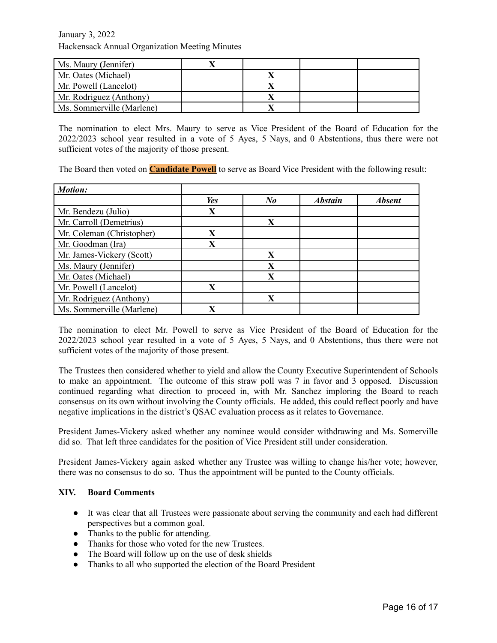| Ms. Maury (Jennifer)      |  |  |
|---------------------------|--|--|
| Mr. Oates (Michael)       |  |  |
| Mr. Powell (Lancelot)     |  |  |
| Mr. Rodriguez (Anthony)   |  |  |
| Ms. Sommerville (Marlene) |  |  |

The nomination to elect Mrs. Maury to serve as Vice President of the Board of Education for the 2022/2023 school year resulted in a vote of 5 Ayes, 5 Nays, and 0 Abstentions, thus there were not sufficient votes of the majority of those present.

The Board then voted on **Candidate Powell** to serve as Board Vice President with the following result:

| <b>Motion:</b>            |                         |         |                |               |
|---------------------------|-------------------------|---------|----------------|---------------|
|                           | Yes                     | $N_{0}$ | <b>Abstain</b> | <b>Absent</b> |
| Mr. Bendezu (Julio)       | X                       |         |                |               |
| Mr. Carroll (Demetrius)   |                         | X       |                |               |
| Mr. Coleman (Christopher) | $\overline{\textbf{X}}$ |         |                |               |
| Mr. Goodman (Ira)         | $\mathbf X$             |         |                |               |
| Mr. James-Vickery (Scott) |                         | X       |                |               |
| Ms. Maury (Jennifer)      |                         | X       |                |               |
| Mr. Oates (Michael)       |                         | X       |                |               |
| Mr. Powell (Lancelot)     | X                       |         |                |               |
| Mr. Rodriguez (Anthony)   |                         | X       |                |               |
| Ms. Sommerville (Marlene) | X                       |         |                |               |

The nomination to elect Mr. Powell to serve as Vice President of the Board of Education for the 2022/2023 school year resulted in a vote of 5 Ayes, 5 Nays, and 0 Abstentions, thus there were not sufficient votes of the majority of those present.

The Trustees then considered whether to yield and allow the County Executive Superintendent of Schools to make an appointment. The outcome of this straw poll was 7 in favor and 3 opposed. Discussion continued regarding what direction to proceed in, with Mr. Sanchez imploring the Board to reach consensus on its own without involving the County officials. He added, this could reflect poorly and have negative implications in the district's QSAC evaluation process as it relates to Governance.

President James-Vickery asked whether any nominee would consider withdrawing and Ms. Somerville did so. That left three candidates for the position of Vice President still under consideration.

President James-Vickery again asked whether any Trustee was willing to change his/her vote; however, there was no consensus to do so. Thus the appointment will be punted to the County officials.

#### **XIV. Board Comments**

- It was clear that all Trustees were passionate about serving the community and each had different perspectives but a common goal.
- Thanks to the public for attending.
- Thanks for those who voted for the new Trustees.
- The Board will follow up on the use of desk shields
- Thanks to all who supported the election of the Board President